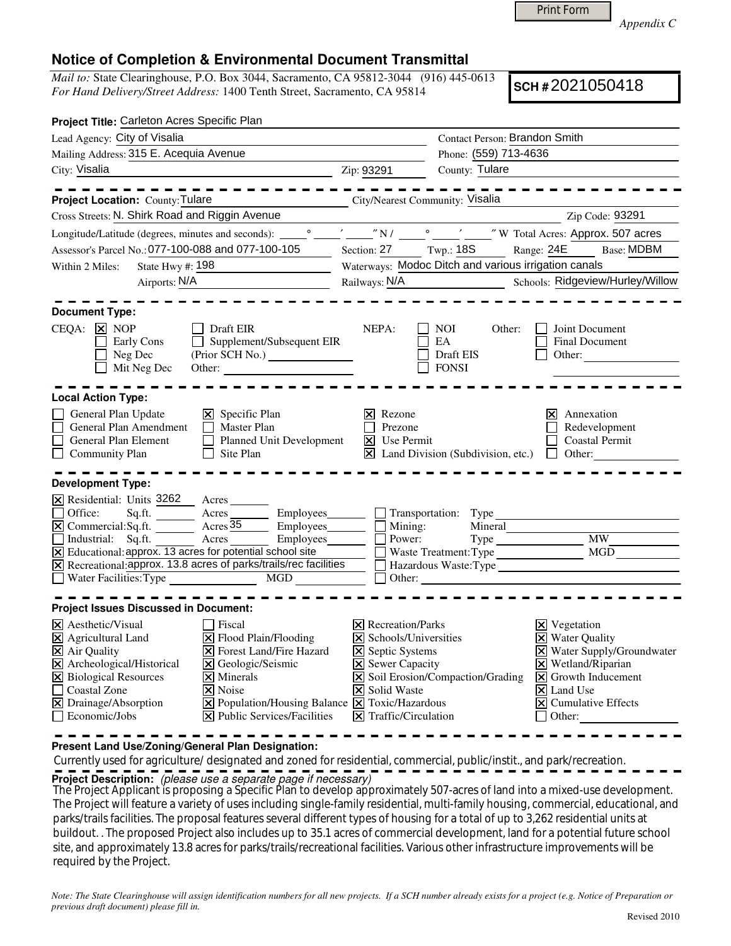Print Form

*Appendix C* 

## **Notice of Completion & Environmental Document Transmittal**

*Mail to:* State Clearinghouse, P.O. Box 3044, Sacramento, CA 95812-3044 (916) 445-0613 *For Hand Delivery/Street Address:* 1400 Tenth Street, Sacramento, CA 95814

**SCH #** 2021050418

| Project Title: Carleton Acres Specific Plan                                                                                                                                                                                                                                                                                                                                                                                                                                                                                                                                                        |                                                                                                                                                                                       |                                                             |                                                                                                                                                                                                                                          |
|----------------------------------------------------------------------------------------------------------------------------------------------------------------------------------------------------------------------------------------------------------------------------------------------------------------------------------------------------------------------------------------------------------------------------------------------------------------------------------------------------------------------------------------------------------------------------------------------------|---------------------------------------------------------------------------------------------------------------------------------------------------------------------------------------|-------------------------------------------------------------|------------------------------------------------------------------------------------------------------------------------------------------------------------------------------------------------------------------------------------------|
| Lead Agency: City of Visalia                                                                                                                                                                                                                                                                                                                                                                                                                                                                                                                                                                       |                                                                                                                                                                                       | Contact Person: Brandon Smith                               |                                                                                                                                                                                                                                          |
| Mailing Address: 315 E. Acequia Avenue                                                                                                                                                                                                                                                                                                                                                                                                                                                                                                                                                             |                                                                                                                                                                                       | Phone: (559) 713-4636                                       |                                                                                                                                                                                                                                          |
| City: Visalia                                                                                                                                                                                                                                                                                                                                                                                                                                                                                                                                                                                      | Zip: 93291                                                                                                                                                                            | County: Tulare                                              |                                                                                                                                                                                                                                          |
| -----------                                                                                                                                                                                                                                                                                                                                                                                                                                                                                                                                                                                        |                                                                                                                                                                                       |                                                             | -------------                                                                                                                                                                                                                            |
| City/Nearest Community: Visalia<br><b>Project Location: County: Tulare</b>                                                                                                                                                                                                                                                                                                                                                                                                                                                                                                                         |                                                                                                                                                                                       |                                                             |                                                                                                                                                                                                                                          |
| Cross Streets: N. Shirk Road and Riggin Avenue                                                                                                                                                                                                                                                                                                                                                                                                                                                                                                                                                     |                                                                                                                                                                                       |                                                             | Zip Code: 93291                                                                                                                                                                                                                          |
|                                                                                                                                                                                                                                                                                                                                                                                                                                                                                                                                                                                                    |                                                                                                                                                                                       |                                                             |                                                                                                                                                                                                                                          |
| Assessor's Parcel No.: 077-100-088 and 077-100-105                                                                                                                                                                                                                                                                                                                                                                                                                                                                                                                                                 |                                                                                                                                                                                       | Section: 27 Twp.: 18S                                       | Range: 24E<br><b>Base: MDBM</b>                                                                                                                                                                                                          |
| State Hwy $#$ : 198<br>Within 2 Miles:                                                                                                                                                                                                                                                                                                                                                                                                                                                                                                                                                             |                                                                                                                                                                                       | Waterways: Modoc Ditch and various irrigation canals        |                                                                                                                                                                                                                                          |
| Airports: N/A                                                                                                                                                                                                                                                                                                                                                                                                                                                                                                                                                                                      |                                                                                                                                                                                       |                                                             | Schools: Ridgeview/Hurley/Willow                                                                                                                                                                                                         |
| <b>Document Type:</b><br>$CEQA: \times NOP$<br>  Draft EIR<br>$\Box$ Supplement/Subsequent EIR<br>Early Cons<br>Neg Dec<br>$\Box$ Mit Neg Dec<br>Other:                                                                                                                                                                                                                                                                                                                                                                                                                                            | NEPA:                                                                                                                                                                                 | NOI<br>Other:<br>EA<br>Draft EIS<br><b>FONSI</b>            | Joint Document<br>Final Document<br>Other:                                                                                                                                                                                               |
| <b>Local Action Type:</b>                                                                                                                                                                                                                                                                                                                                                                                                                                                                                                                                                                          |                                                                                                                                                                                       |                                                             |                                                                                                                                                                                                                                          |
| General Plan Update<br>$\boxtimes$ Specific Plan<br>General Plan Amendment<br>Master Plan<br>Planned Unit Development<br>General Plan Element<br>$\Box$<br><b>Community Plan</b><br>$\Box$ Site Plan                                                                                                                                                                                                                                                                                                                                                                                               | $\times$ Rezone<br>П<br>Prezone<br>$\overline{\mathsf{x}}$ Use Permit                                                                                                                 | $\boxtimes$ Land Division (Subdivision, etc.) $\Box$ Other: | Annexation<br>Ι×Ι<br>Redevelopment<br><b>Coastal Permit</b>                                                                                                                                                                              |
| <b>Development Type:</b><br>X Residential: Units 3262<br>Acres<br>Sq.ft. ________ Acres _________ Employees _______ __ __ Transportation: Type ______________________<br>Office:<br>$\boxed{\mathsf{X}}$ Commercial: Sq.ft. $\boxed{\phantom{\mathsf{X}}\phantom{\mathsf{X}}\phantom{\mathsf{X}}\mathsf{C}}$ Acres 35 Employees $\boxed{\phantom{\mathsf{X}}\phantom{\mathsf{X}}\mathsf{C}}$<br>Industrial: Sq.ft. Acres Employees<br>X Educational: approx. 13 acres for potential school site<br>X Recreational: approx. 13.8 acres of parks/trails/rec facilities<br>Water Facilities: Type MGD | $\Box$ Power:                                                                                                                                                                         | Mineral<br>Mining:                                          | $\Box$ Other:                                                                                                                                                                                                                            |
| <b>Project Issues Discussed in Document:</b>                                                                                                                                                                                                                                                                                                                                                                                                                                                                                                                                                       |                                                                                                                                                                                       |                                                             |                                                                                                                                                                                                                                          |
| X Aesthetic/Visual<br>Fiscal<br><b>X</b> Agricultural Land<br><b>X</b> Air Quality<br>$\Xi$ Flood Plain/Flooding<br><b>X</b> Forest Land/Fire Hazard<br>X Archeological/Historical<br>$\Xi$ Geologic/Seismic<br>X Biological Resources<br>$\triangleright$ Minerals<br>$\Box$<br>Coastal Zone<br>$\overline{\mathsf{x}}$ Noise<br>X Drainage/Absorption<br>$[\times]$ Population/Housing Balance $[\times]$ Toxic/Hazardous<br>$\overline{\Box}$ Economic/Jobs<br>$ \mathbf{\nabla} $ Public Services/Facilities                                                                                   | $ \mathbf{\nabla} $ Recreation/Parks<br>X Schools/Universities<br><b>X</b> Septic Systems<br>$\Xi$ Sewer Capacity<br><b>X</b> Solid Waste<br>$\boxed{\mathsf{X}}$ Traffic/Circulation | $\overline{\mathsf{X}}$ Soil Erosion/Compaction/Grading     | $\boxtimes$ Vegetation<br><b>X</b> Water Quality<br>X Water Supply/Groundwater<br>$\times$ Wetland/Riparian<br>$\vert\mathbf{X}\vert$ Growth Inducement<br>$ \mathsf{X} $ Land Use<br>$ \mathsf{x} $ Cumulative Effects<br>$\Box$ Other: |

**Present Land Use/Zoning/General Plan Designation:**

 Currently used for agriculture/ designated and zoned for residential, commercial, public/instit., and park/recreation. **Project Description:** (please use a separate page if necessary)

 The Project Applicant is proposing a Specific Plan to develop approximately 507-acres of land into a mixed-use development. The Project will feature a variety of uses including single-family residential, multi-family housing, commercial, educational, and parks/trails facilities. The proposal features several different types of housing for a total of up to 3,262 residential units at buildout. . The proposed Project also includes up to 35.1 acres of commercial development, land for a potential future school site, and approximately 13.8 acres for parks/trails/recreational facilities. Various other infrastructure improvements will be required by the Project.

*Note: The State Clearinghouse will assign identification numbers for all new projects. If a SCH number already exists for a project (e.g. Notice of Preparation or previous draft document) please fill in.*